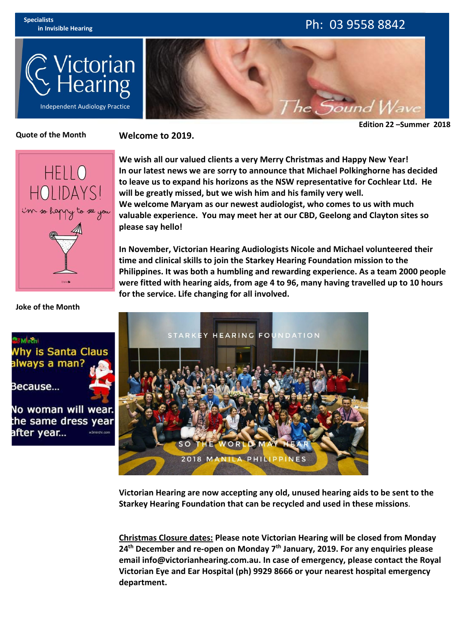

## **in Invisible Hearing** Ph: 03 9558 8842



**Edition 22 –Summer 2018**

#### **Quote of the Month**

**Welcome to 2019.**



**We wish all our valued clients a very Merry Christmas and Happy New Year! In our latest news we are sorry to announce that Michael Polkinghorne has decided to leave us to expand his horizons as the NSW representative for Cochlear Ltd. He will be greatly missed, but we wish him and his family very well. We welcome Maryam as our newest audiologist, who comes to us with much valuable experience. You may meether at our CBD, Geelong and Clayton sites so please say hello!**

**In November, Victorian Hearing Audiologists Nicole and Michael volunteered their time and clinicalskills to join the Starkey Hearing Foundation mission to the Philippines. It was both a humbling and rewarding experience. As a team 2000 people were fitted with hearing aids, from age 4 to 96, many having travelled up to 10 hours for the service. Life changing for all involved.**



**Victorian Hearing are now accepting any old, unused hearing aids to be sent to the Starkey Hearing Foundation that can be recycled and used in these missions**.

**Christmas Closure dates: Please note Victorian Hearing will be closed from Monday 24th December and re-open on Monday 7 th January, 2019. For any enquiries please email info@victorianhearing.com.au. In case of emergency, please contact the Royal Victorian Eye and Ear Hospital (ph) 9929 8666 or your nearest hospital emergency department.**

#### **Joke of the Month**

## Mi-Shi hy is Santa Claus lways a man?

Because...

No woman will wear. the same dress year after year... wäminchi.co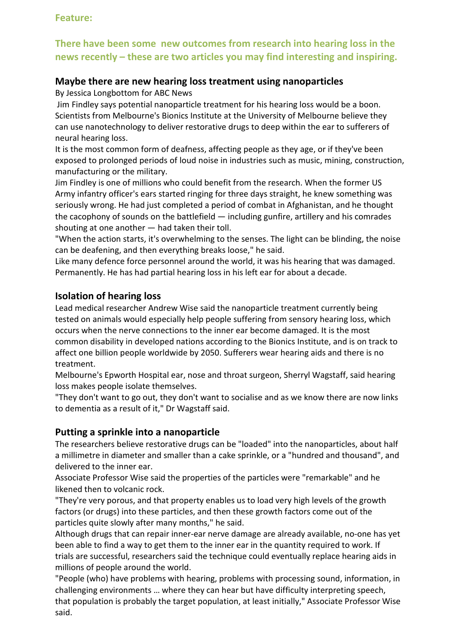#### **Feature:**

### **There have been some new outcomes from research into hearing loss in the news recently – these are two articles you may find interesting and inspiring.**

#### **Maybe there are new hearing loss treatment using nanoparticles**

By Jessica Longbottom for ABC News

Jim Findley says potential nanoparticle treatment for his hearing loss would be a boon. Scientists from Melbourne's Bionics Institute at the University of Melbourne believe they can use nanotechnology to deliver restorative drugs to deep within the ear to sufferers of neural hearing loss.

It is the most common form of deafness, affecting people as they age, or if they've been exposed to prolonged periods of loud noise in industries such as music, mining, construction, manufacturing or the military.

Jim Findley is one of millions who could benefit from the research. When the former US Army infantry officer's ears started ringing for three days straight, he knew something was seriously wrong. He had just completed a period of combat in Afghanistan, and he thought the cacophony of sounds on the battlefield — including gunfire, artillery and his comrades shouting at one another — had taken their toll.

"When the action starts, it's overwhelming to the senses. The light can be blinding, the noise can be deafening, and then everything breaks loose," he said.

Like many defence force personnel around the world, it was his hearing that was damaged. Permanently. He has had partial hearing loss in his left ear for about a decade.

#### **Isolation of hearing loss**

Lead medical researcher Andrew Wise said the nanoparticle treatment currently being tested on animals would especially help people suffering from sensory hearing loss, which occurs when the nerve connections to the inner ear become damaged. It is the most common disability in developed nations according to the Bionics Institute, and is on track to affect one billion people worldwide by 2050. Sufferers wear hearing aids and there is no treatment.

Melbourne's Epworth Hospital ear, nose and throat surgeon, Sherryl Wagstaff, said hearing loss makes people isolate themselves.

"They don't want to go out, they don't want to socialise and as we know there are now links to dementia as a result of it," Dr Wagstaff said.

### **Putting a sprinkle into a nanoparticle**

The researchers believe restorative drugs can be "loaded" into the nanoparticles, about half a millimetre in diameter and smaller than a cake sprinkle, or a "hundred and thousand", and delivered to the inner ear.

Associate Professor Wise said the properties of the particles were "remarkable" and he likened then to volcanic rock.

"They're very porous, and that property enables us to load very high levels of the growth factors (or drugs) into these particles, and then these growth factors come out of the particles quite slowly after many months," he said.

Although drugs that can repair inner-ear nerve damage are already available, no-one has yet been able to find a way to get them to the inner ear in the quantity required to work. If trials are successful, researchers said the technique could eventually replace hearing aids in millions of people around the world.

"People (who) have problems with hearing, problems with processing sound, information, in challenging environments … where they can hear but have difficulty interpreting speech, that population is probably the target population, at least initially," Associate Professor Wise said.